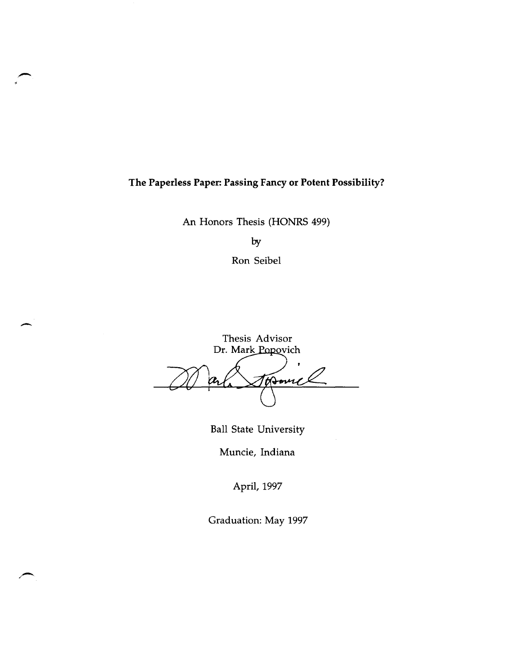## **The Paperless Paper: Passing Fancy or Potent Possibility?**

..-..

An Honors Thesis (HONRS 499)

by

Ron Seibel

- Thesis Advisor Dr. Mark Popovich Homel  $a_{\nu}$ 

Ball State University

Muncie, Indiana

April, 1997

Graduation: May 1997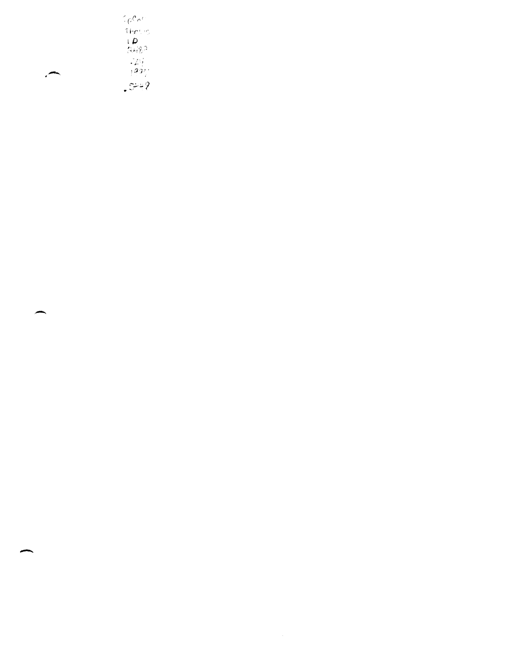$e^{\mathcal{C}_{\mathcal{D}^t}}$  $the$ **;Ot** .~ " ; **!)).'.**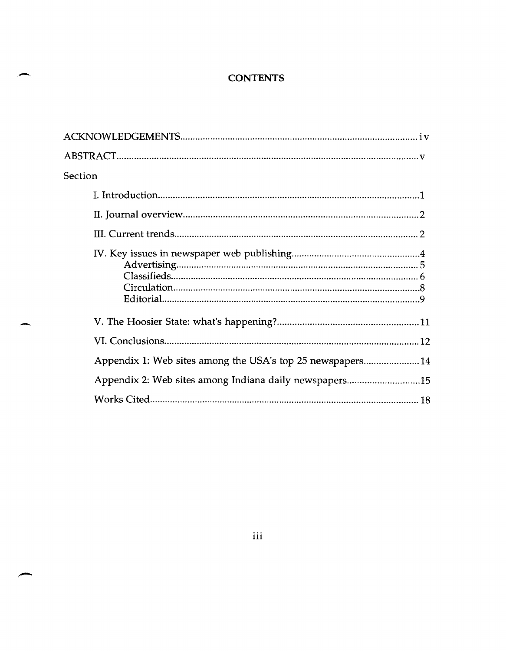# **CONTENTS**

| Section                                                   |  |
|-----------------------------------------------------------|--|
|                                                           |  |
|                                                           |  |
|                                                           |  |
|                                                           |  |
|                                                           |  |
|                                                           |  |
| Appendix 1: Web sites among the USA's top 25 newspapers14 |  |
| Appendix 2: Web sites among Indiana daily newspapers15    |  |
|                                                           |  |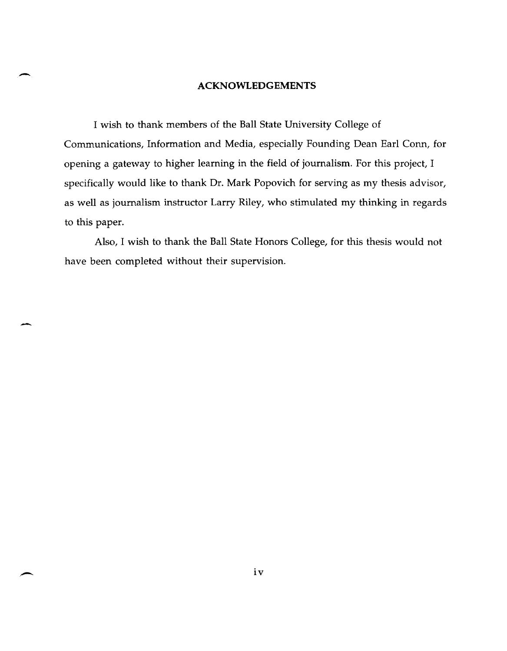## **ACKNOWLEDGEMENTS**

-

-

I wish to thank members of the Ball State University College of Communications, Information and Media, especially Founding Dean Earl Conn, for opening a gateway to higher learning in the field of journalism. For this project, I specifically would like to thank Dr. Mark Popovich for serving as my thesis advisor, as well as journalism instructor Larry Riley, who stimulated my thinking in regards to this paper.

Also, I wish to thank the Ball State Honors College, for this thesis would not have been completed without their supervision.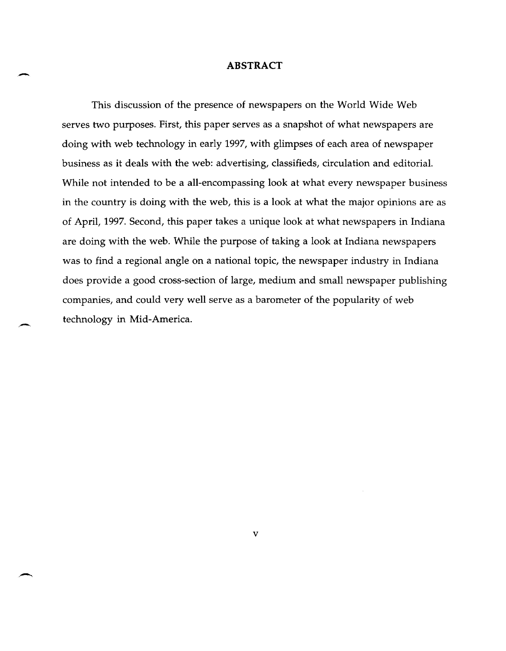#### **ABSTRACT**

This discussion of the presence of newspapers on the World Wide Web serves two purposes. First, this paper serves as a snapshot of what newspapers are doing with web technology in early 1997, with glimpses of each area of newspaper business as it deals with the web: advertising, classifieds, circulation and editorial. While not intended to be a all-encompassing look at what every newspaper business in the country is doing with the web, this is a look at what the major opinions are as of April, 1997. Second, this paper takes a unique look at what newspapers in Indiana are doing with the web. While the purpose of taking a look at Indiana newspapers was to find a regional angle on a national topic, the newspaper industry in Indiana does provide a good cross-section of large, medium and small newspaper publishing companies, and could very well serve as a barometer of the popularity of web technology in Mid-America.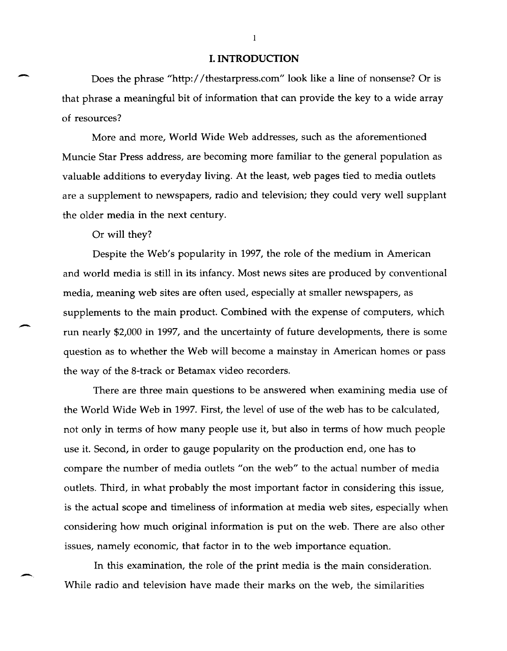#### **I. INTRODUCTION**

Does the phrase ''http://thestarpress.com'' look like a line of nonsense? Or is that phrase a meaningful bit of information that can provide the key to a wide array of resources?

More and more, World Wide Web addresses, such as the aforementioned Muncie Star Press address, are becoming more familiar to the general population as valuable additions to everyday living. At the least, web pages tied to media outlets are a supplement to newspapers, radio and television; they could very well supplant the older media in the next century.

Or will they?

,-

-

Despite the Web's popularity in 1997, the role of the medium in American and world media is still in its infancy. Most news sites are produced by conventional media, meaning web sites are often used, especially at smaller newspapers, as supplements to the main product. Combined with the expense of computers, which run nearly \$2,000 in 1997, and the uncertainty of future developments, there is some question as to whether the Web will become a mainstay in American homes or pass the way of the 8-track or Betamax video recorders.

There are three main questions to be answered when examining media use of the World Wide Web in 1997. First, the level of use of the web has to be calculated, not only in terms of how many people use it, but also in terms of how much people use it. Second, in order to gauge popularity on the production end, one has to compare the number of media outlets "on the web" to the actual number of media outlets. Third, in what probably the most important factor in considering this issue, is the actual scope and timeliness of information at media web sites, especially when considering how much original information is put on the web. There are also other issues, namely economic, that factor in to the web importance equation.

In this examination, the role of the print media is the main consideration. While radio and television have made their marks on the web, the similarities

 $\mathbf{1}$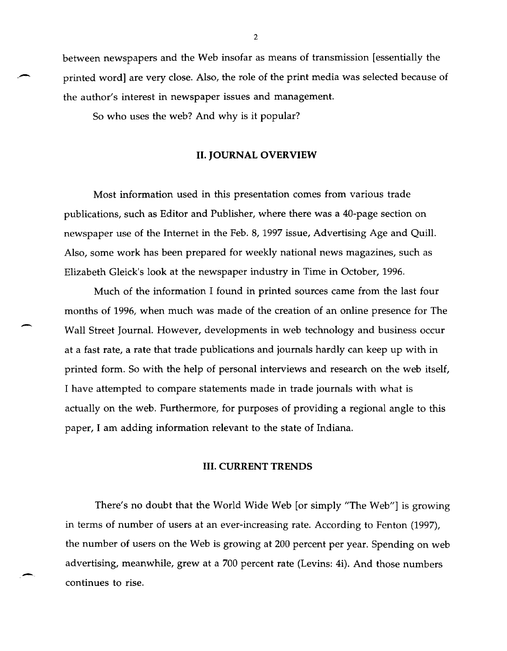between newspapers and the Web insofar as means of transmission [essentially the printed word] are very close. Also, the role of the print media was selected because of the author's interest in newspaper issues and management.

So who uses the web? And why is it popular?

-

#### **II. JOURNAL OVERVIEW**

Most information used in this presentation comes from various trade publications, such as Editor and Publisher, where there was a 40-page section on newspaper use of the Internet in the Feb. 8, 1997 issue, Advertising Age and Quill. Also, some work has been prepared for weekly national news magazines, such as Elizabeth Gleick's look at the newspaper industry in Time in October, 1996.

Much of the information I found in printed sources came from the last four months of 1996, when much was made of the creation of an online presence for The Wall Street Journal. However, developments in web technology and business occur at a fast rate, a rate that trade publications and journals hardly can keep up with in printed form. So with the help of personal interviews and research on the web itself, I have attempted to compare statements made in trade journals with what is actually on the web. Furthermore, for purposes of providing a regional angle to this paper, I am adding information relevant to the state of Indiana.

#### **III. CURRENT TRENDS**

There's no doubt that the World Wide Web [or simply "The Web"] is growing in terms of number of users at an ever-increasing rate. According to Fenton (1997), the number of users on the Web is growing at 200 percent per year. Spending on web advertising, meanwhile, grew at a 700 percent rate (Levins: 4i). And those numbers continues to rise.

 $\overline{2}$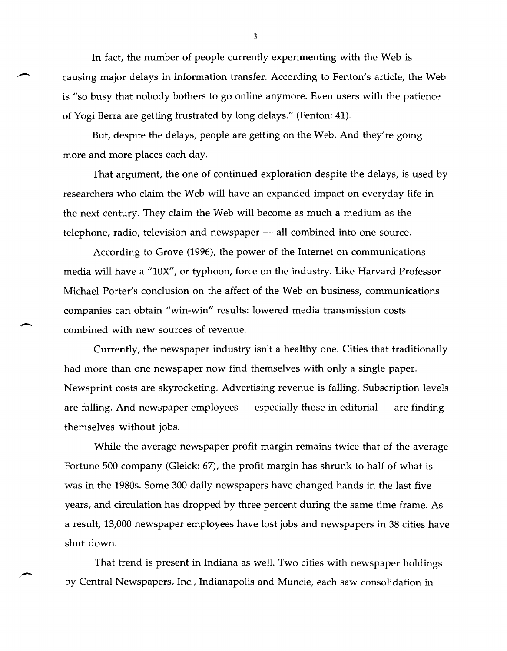In fact, the number of people currently experimenting with the Web is causing major delays in information transfer. According to Fenton's article, the Web is "so busy that nobody bothers to go online anymore. Even users with the patience of Yogi Berra are getting frustrated by long delays." (Fenton: 41).

But, despite the delays, people are getting on the Web. And they're going more and more places each day.

That argument, the one of continued exploration despite the delays, is used by researchers who claim the Web will have an expanded impact on everyday life in the next century. They claim the Web will become as much a medium as the telephone, radio, television and newspaper - all combined into one source.

According to Grove (1996), the power of the Internet on communications media will have a "lOX", or typhoon, force on the industry. Like Harvard Professor Michael Porter's conclusion on the affect of the Web on business, communications companies can obtain "win-win" results: lowered media transmission costs combined with new sources of revenue.

-

-

Currently, the newspaper industry isn't a healthy one. Cities that traditionally had more than one newspaper now find themselves with only a single paper. Newsprint costs are skyrocketing. Advertising revenue is falling. Subscription levels are falling. And newspaper employees  $-$  especially those in editorial  $-$  are finding themselves without jobs.

While the average newspaper profit margin remains twice that of the average Fortune 500 company (Gleick: 67), the profit margin has shrunk to half of what is was in the 1980s. Some 300 daily newspapers have changed hands in the last five years, and circulation has dropped by three percent during the same time frame. As a result, 13,000 newspaper employees have lost jobs and newspapers in 38 cities have shut down.

That trend is present in Indiana as well. Two cities with newspaper holdings by Central Newspapers, Inc., Indianapolis and Muncie, each saw consolidation in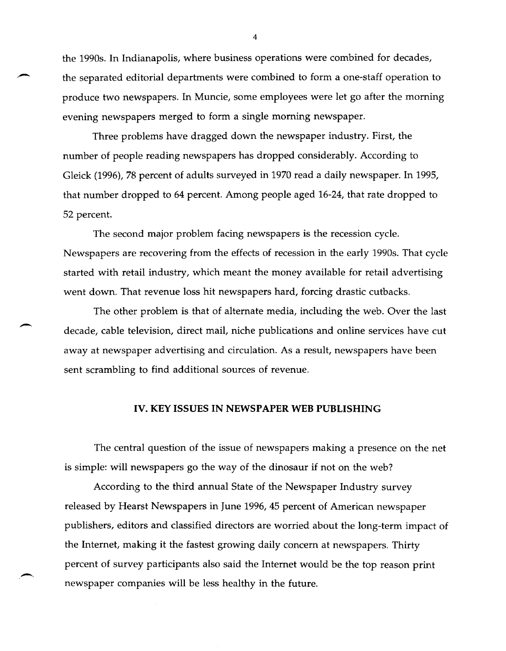the 1990s. In Indianapolis, where business operations were combined for decades, the separated editorial departments were combined to form a one-staff operation to produce two newspapers. In Muncie, some employees were let go after the morning evening newspapers merged to form a single morning newspaper.

Three problems have dragged down the newspaper industry. First, the number of people reading newspapers has dropped considerably. According to Gleick (1996), 78 percent of adults surveyed in 1970 read a daily newspaper. In 1995, that number dropped to 64 percent. Among people aged 16-24, that rate dropped to 52 percent.

The second major problem facing newspapers is the recession cycle. Newspapers are recovering from the effects of recession in the early 1990s. That cycle started with retail industry, which meant the money available for retail advertising went down. That revenue loss hit newspapers hard, forcing drastic cutbacks.

The other problem is that of alternate media, including the web. Over the last decade, cable television, direct mail, niche publications and online services have cut away at newspaper advertising and circulation. As a result, newspapers have been sent scrambling to find additional sources of revenue.

-

#### **IV. KEY ISSUES IN NEWSPAPER WEB PUBLISHING**

The central question of the issue of newspapers making a presence on the net is simple: will newspapers go the way of the dinosaur if not on the web?

According to the third annual State of the Newspaper Industry survey released by Hearst Newspapers in June 1996,45 percent of American newspaper publishers, editors and classified directors are worried about the long-term impact of the Internet, making it the fastest growing daily concern at newspapers. Thirty percent of survey participants also said the Internet would be the top reason print newspaper companies will be less healthy in the future.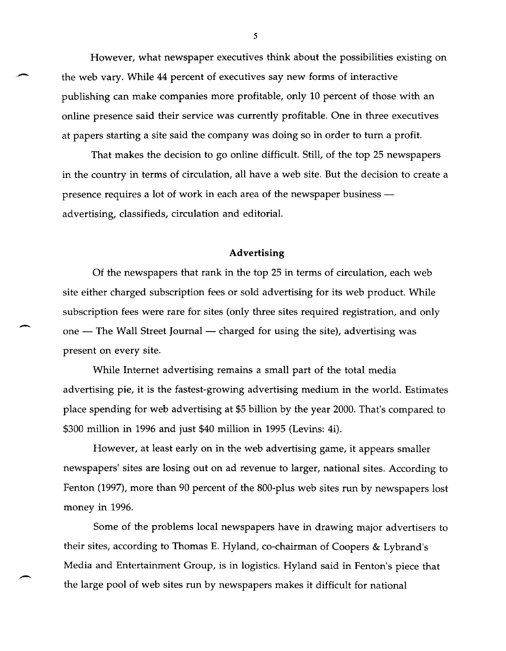However, what newspaper executives think about the possibilities existing on the web vary. While 44 percent of executives say new forms of interactive publishing can make companies more profitable, only 10 percent of those with an online presence said their service was currently profitable. One in three executives at papers starting a site said the company was doing so in order to turn a profit.

,-

-

,-

That makes the decision to go online difficult. Still, of the top 25 newspapers in the country in terms of circulation, all have a web site. But the decision to create a presence requires a lot of work in each area of the newspaper businessadvertising, classifieds, circulation and editorial.

### **Advertising**

Of the newspapers that rank in the top 25 in terms of circulation, each web site either charged subscription fees or sold advertising for its web product. While subscription fees were rare for sites (only three sites required registration, and only one  $-$  The Wall Street Journal  $-$  charged for using the site), advertising was present on every site.

While Internet advertising remains a small part of the total media advertising pie, it is the fastest-growing advertising medium in the world. Estimates place spending for web advertising at \$5 billion by the year 2000. That's compared to \$300 million in 1996 and just \$40 million in 1995 (Levins: 4i).

However, at least early on in the web advertising game, it appears smaller newspapers' sites are losing out on ad revenue to larger, national sites. According to Fenton (1997), more than 90 percent of the BOO-plus web sites run by newspapers lost money in 1996.

Some of the problems local newspapers have in drawing major advertisers to their sites, according to Thomas E. Hyland, co-chairman of Coopers & Lybrand's Media and Entertainment Group, is in logistics. Hyland said in Fenton's piece that the large pool of web sites run by newspapers makes it difficult for national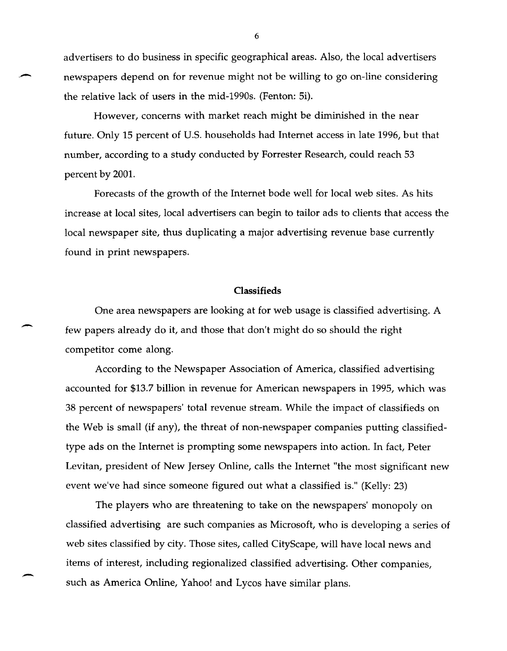advertisers to do business in specific geographical areas. Also, the local advertisers newspapers depend on for revenue might not be willing to go on-line considering the relative lack of users in the mid-1990s. (Fenton: 5i).

However, concerns with market reach might be diminished in the near future. Only 15 percent of U.s. households had Internet access in late 1996, but that number, according to a study conducted by Forrester Research, could reach 53 percent by 200l.

Forecasts of the growth of the Internet bode well for local web sites. As hits increase at local sites, local advertisers can begin to tailor ads to clients that access the local newspaper site, thus duplicating a major advertising revenue base currently found in print newspapers.

#### **Classifieds**

One area newspapers are looking at for web usage is classified advertising. A few papers already do it, and those that don't might do so should the right competitor come along.

-

-

According to the Newspaper Association of America, classified advertising accounted for \$13.7 billion in revenue for American newspapers in 1995, which was 38 percent of newspapers' total revenue stream. While the impact of classifieds on the Web is small (if any), the threat of non-newspaper companies putting classifiedtype ads on the Internet is prompting some newspapers into action. In fact, Peter Levitan, president of New Jersey Online, calls the Internet "the most significant new event we've had since someone figured out what a classified is." (Kelly: 23)

The players who are threatening to take on the newspapers' monopoly on classified advertising are such companies as Microsoft, who is developing a series of web sites classified by city. Those sites, called CityScape, will have local news and items of interest, including regionalized classified advertising. Other companies, such as America Online, Yahoo! and Lycos have similar plans.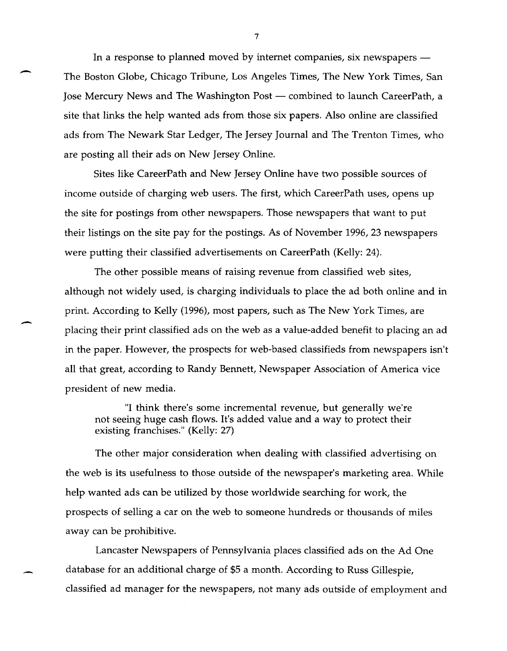In a response to planned moved by internet companies, six newspapers — The Boston Globe, Chicago Tribune, Los Angeles Times, The New York Times, San Jose Mercury News and The Washington Post - combined to launch CareerPath, a site that links the help wanted ads from those six papers. Also online are classified ads from The Newark Star Ledger, The Jersey Journal and The Trenton Times, who are posting all their ads on New Jersey Online.

-

-

-

Sites like CareerPath and New Jersey Online have two possible sources of income outside of charging web users. The first, which CareerPath uses, opens up the site for postings from other newspapers. Those newspapers that want to put their listings on the site pay for the postings. As of November 1996,23 newspapers were putting their classified advertisements on CareerPath (Kelly: 24).

The other possible means of raising revenue from classified web sites, although not widely used, is charging individuals to place the ad both online and in print. According to Kelly (1996), most papers, such as The New York Times, are placing their print classified ads on the web as a value-added benefit to placing an ad in the paper. However, the prospects for web-based classifieds from newspapers isn't all that great, according to Randy Bennett, Newspaper Association of America vice president of new media.

"I think there's some incremental revenue, but generally we're not seeing huge cash flows. It's added value and a way to protect their existing franchises." (Kelly: 27)

The other major consideration when dealing with classified advertising on the web is its usefulness to those outside of the newspaper's marketing area. While help wanted ads can be utilized by those worldwide searching for work, the prospects of selling a car on the web to someone hundreds or thousands of miles away can be prohibitive.

Lancaster Newspapers of Pennsylvania places classified ads on the Ad One database for an additional charge of \$5 a month. According to Russ Gillespie, classified ad manager for the newspapers, not many ads outside of employment and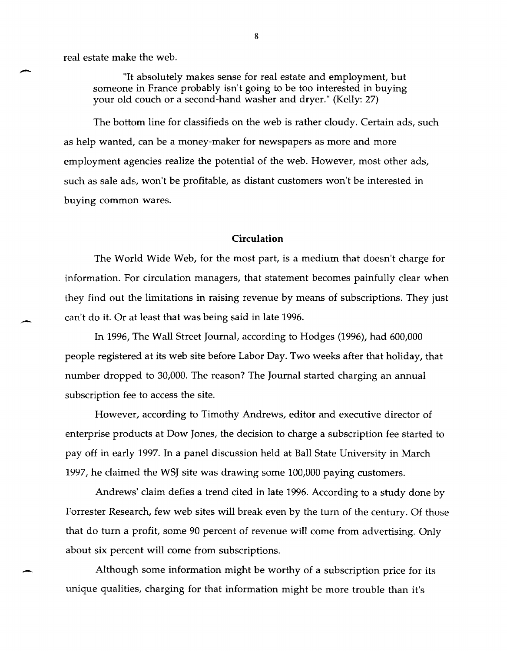real estate make the web.

-

-

-

"It absolutely makes sense for real estate and employment, but someone in France probably isn't going to be too interested in buying your old couch or a second-hand washer and dryer." (Kelly: 27)

The bottom line for classifieds on the web is rather cloudy. Certain ads, such as help wanted, can be a money-maker for newspapers as more and more employment agencies realize the potential of the web. However, most other ads, such as sale ads, won't be profitable, as distant customers won't be interested in buying common wares.

#### **Circulation**

The World Wide Web, for the most part, is a medium that doesn't charge for information. For circulation managers, that statement becomes painfully clear when they find out the limitations in raising revenue by means of subscriptions. They just can't do it. Or at least that was being said in late 1996.

In 1996, The Wall Street Journal, according to Hodges (1996), had 600,000 people registered at its web site before Labor Day. Two weeks after that holiday, that number dropped to 30,000. The reason? The Journal started charging an annual subscription fee to access the site.

However, according to Timothy Andrews, editor and executive director of enterprise products at Dow Jones, the decision to charge a subscription fee started to payoff in early 1997. In a panel discussion held at Ball State University in March 1997, he claimed the WSJ site was drawing some 100,000 paying customers.

Andrews' claim defies a trend cited in late 1996. According to a study done by Forrester Research, few web sites will break even by the turn of the century. Of those that do turn a profit, some 90 percent of revenue will come from advertising. Only about six percent will come from subscriptions.

Although some information might be worthy of a subscription price for its unique qualities, charging for that information might be more trouble than it's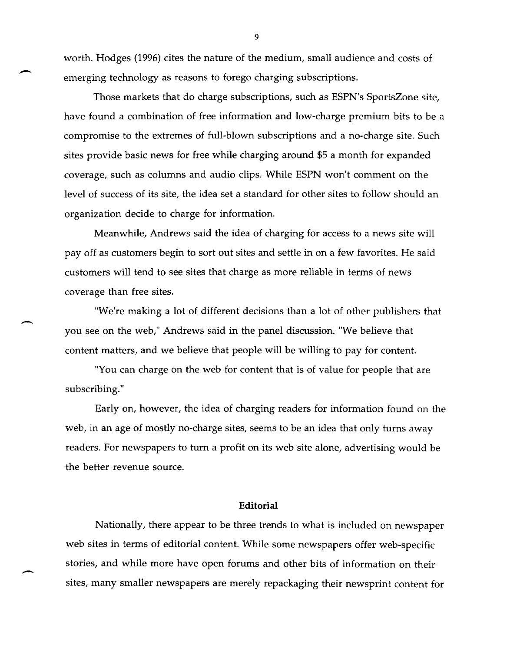worth. Hodges (1996) cites the nature of the medium, small audience and costs of emerging technology as reasons to forego charging subscriptions.

-

 $\overline{\phantom{0}}$ 

-

Those markets that do charge subscriptions, such as ESPN's SportsZone site, have found a combination of free information and low-charge premium bits to be a compromise to the extremes of full-blown subscriptions and a no-charge site. Such sites provide basic news for free while charging around \$5 a month for expanded coverage, such as columns and audio clips. While ESPN won't comment on the level of success of its site, the idea set a standard for other sites to follow should an organization decide to charge for information.

Meanwhile, Andrews said the idea of charging for access to a news site will payoff as customers begin to sort out sites and settle in on a few favorites. He said customers will tend to see sites that charge as more reliable in terms of news coverage than free sites.

"We're making a lot of different decisions than a lot of other publishers that you see on the web," Andrews said in the panel discussion. "We believe that content matters, and we believe that people will be willing to pay for content.

"You can charge on the web for content that is of value for people that are subscribing. "

Early on, however, the idea of charging readers for information found on the web, in an age of mostly no-charge sites, seems to be an idea that only turns away readers. For newspapers to turn a profit on its web site alone, advertising would be the better revenue source.

## **Editorial**

Nationally, there appear to be three trends to what is included on newspaper web sites in terms of editorial content. While some newspapers offer web-specific stories, and while more have open forums and other bits of information on their sites, many smaller newspapers are merely repackaging their newsprint content for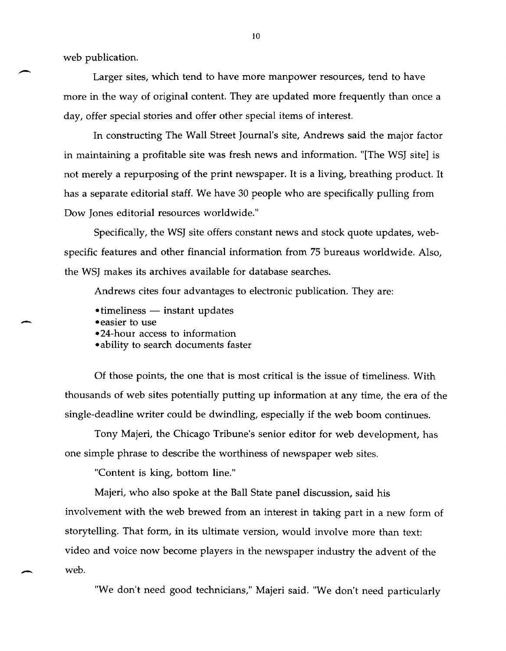web publication.

Larger sites, which tend to have more manpower resources, tend to have more in the way of original content. They are updated more frequently than once a day, offer special stories and offer other special items of interest.

In constructing The Wall Street Journal's site, Andrews said the major factor in maintaining a profitable site was fresh news and information. "[The WSJ site] is not merely a repurposing of the print newspaper. It is a living, breathing product. It has a separate editorial staff. We have 30 people who are specifically pulling from Dow Jones editorial resources worldwide."

Specifically, the WSJ site offers constant news and stock quote updates, webspecific features and other financial information from 75 bureaus worldwide. Also, the WSJ makes its archives available for database searches.

Andrews cites four advantages to electronic publication. They are:

- $\bullet$  timeliness  $-$  instant updates
- easier to use

-

-

- 24-hour access to information
- ability to search documents faster

Of those points, the one that is most critical is the issue of timeliness. With thousands of web sites potentially putting up information at any time, the era of the single-deadline writer could be dwindling, especially if the web boom continues.

Tony Majeri, the Chicago Tribune's senior editor for web development, has one simple phrase to describe the worthiness of newspaper web sites.

"Content is king, bottom line."

Majeri, who also spoke at the Ball State panel discussion, said his involvement with the web brewed from an interest in taking part in a new form of storytelling. That form, in its ultimate version, would involve more than text: video and voice now become players in the newspaper industry the advent of the web.

"We don't need good technicians," Majeri said. "We don't need particularly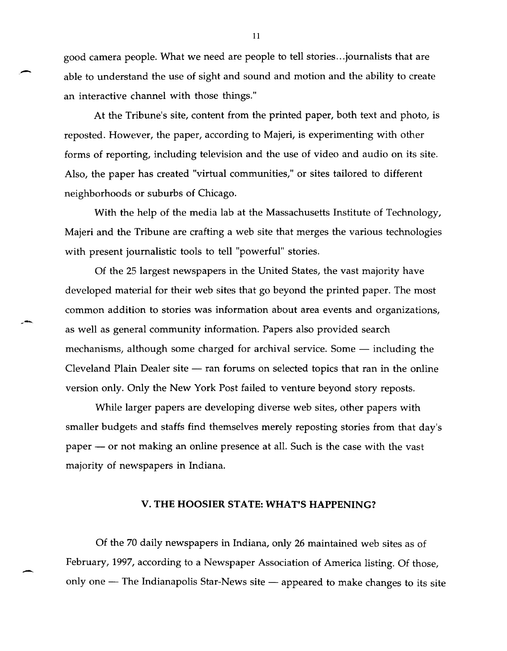good camera people. What we need are people to tell stories ... journalists that are able to understand the use of sight and sound and motion and the ability to create an interactive channel with those things."

.-

.... ~.

-

At the Tribune's site, content from the printed paper, both text and photo, is reposted. However, the paper, according to Majeri, is experimenting with other forms of reporting, including television and the use of video and audio on its site. Also, the paper has created "virtual communities," or sites tailored to different neighborhoods or suburbs of Chicago.

With the help of the media lab at the Massachusetts Institute of Technology, Majeri and the Tribune are crafting a web site that merges the various technologies with present journalistic tools to tell "powerful" stories.

Of the 25 largest newspapers in the United States, the vast majority have developed material for their web sites that go beyond the printed paper. The most common addition to stories was information about area events and organizations, as well as general community information. Papers also provided search mechanisms, although some charged for archival service. Some  $-$  including the Cleveland Plain Dealer site  $-$  ran forums on selected topics that ran in the online version only. Only the New York Post failed to venture beyond story reposts.

While larger papers are developing diverse web sites, other papers with smaller budgets and staffs find themselves merely reposting stories from that day's paper — or not making an online presence at all. Such is the case with the vast majority of newspapers in Indiana.

## **V. THE HOOSIER STATE: WHAT'S HAPPENING?**

Of the 70 daily newspapers in Indiana, only 26 maintained web sites as of February, 1997, according to a Newspaper Association of America listing. Of those, only one - The Indianapolis Star-News site - appeared to make changes to its site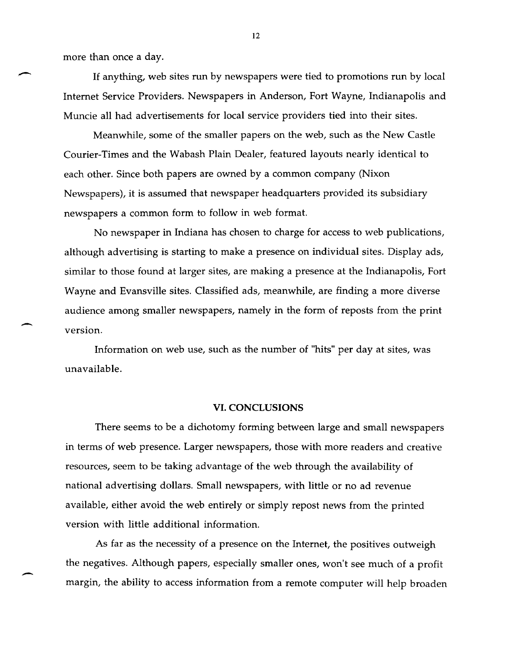more than once a day.

-

-

If anything, web sites run by newspapers were tied to promotions run by local Internet Service Providers. Newspapers in Anderson, Fort Wayne, Indianapolis and Muncie all had advertisements for local service providers tied into their sites.

Meanwhile, some of the smaller papers on the web, such as the New Castle Courier-Times and the Wabash Plain Dealer, featured layouts nearly identical to each other. Since both papers are owned by a common company (Nixon Newspapers), it is assumed that newspaper headquarters provided its subsidiary newspapers a common form to follow in web format.

No newspaper in Indiana has chosen to charge for access to web publications, although advertising is starting to make a presence on individual sites. Display ads, similar to those found at larger sites, are making a presence at the Indianapolis, Fort Wayne and Evansville sites. Classified ads, meanwhile, are finding a more diverse audience among smaller newspapers, namely in the form of reposts from the print version.

Information on web use, such as the number of "hits" per day at sites, was unavailable.

## **VI. CONCLUSIONS**

There seems to be a dichotomy forming between large and small newspapers in terms of web presence. Larger newspapers, those with more readers and creative resources, seem to be taking advantage of the web through the availability of national advertising dollars. Small newspapers, with little or no ad revenue available, either avoid the web entirely or simply repost news from the printed version with little additional information.

As far as the necessity of a presence on the Internet, the positives outweigh the negatives. Although papers, especially smaller ones, won't see much of a profit margin, the ability to access information from a remote computer will help broaden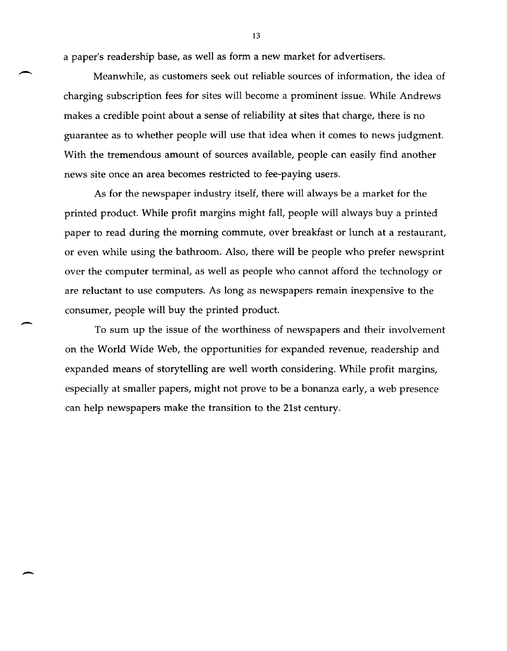a paper's readership base, as well as form a new market for advertisers.

Meanwhile, as customers seek out reliable sources of information, the idea of charging subscription fees for sites will become a prominent issue. While Andrews makes a credible point about a sense of reliability at sites that charge, there is no guarantee as to whether people will use that idea when it comes to news judgment. With the tremendous amount of sources available, people can easily find another news site once an area becomes restricted to fee-paying users.

As for the newspaper industry itself, there will always be a market for the printed product. While profit margins might fall, people will always buy a printed paper to read during the morning commute, over breakfast or lunch at a restaurant, or even while using the bathroom. Also, there will be people who prefer newsprint over the computer terminal, as well as people who cannot afford the technology or are reluctant to use computers. As long as newspapers remain inexpensive to the consumer, people will buy the printed product.

To sum up the issue of the worthiness of newspapers and their involvement on the World Wide Web, the opportunities for expanded revenue, readership and expanded means of storytelling are well worth considering. While profit margins, especially at smaller papers, might not prove to be a bonanza early, a web presence can help newspapers make the transition to the 21st century.

-

-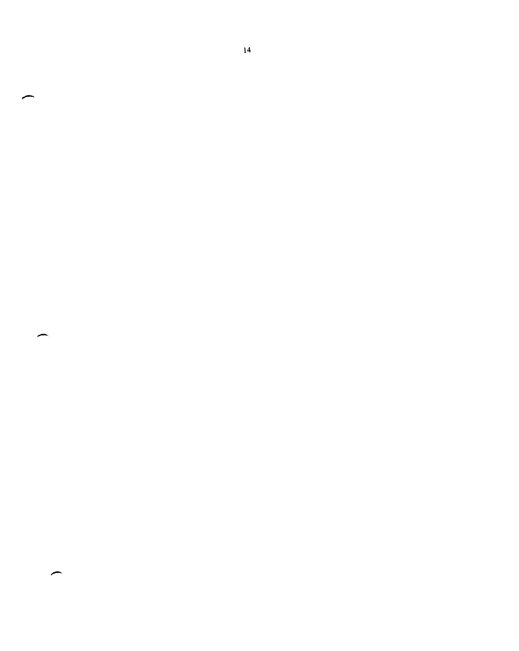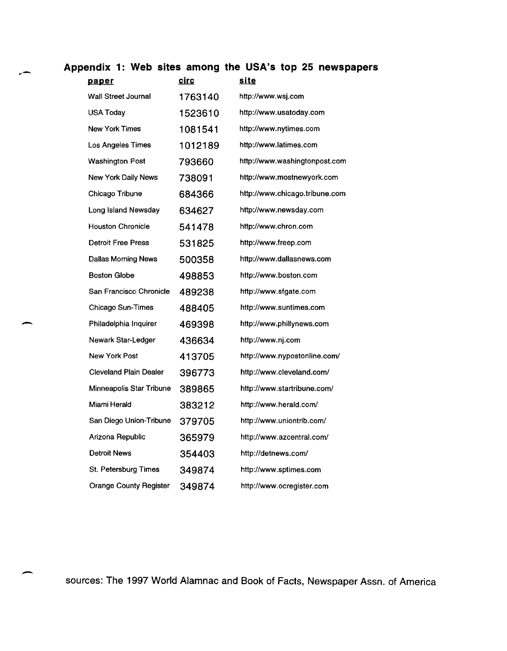# **Appendix 1: Web sites among the USA's top 25 newspapers**

| <u>paper</u>                  | circ    | site                           |
|-------------------------------|---------|--------------------------------|
| <b>Wall Street Journal</b>    | 1763140 | http://www.wsj.com             |
| <b>USA Today</b>              | 1523610 | http://www.usatoday.com        |
| <b>New York Times</b>         | 1081541 | http://www.nytimes.com         |
| Los Angeles Times             | 1012189 | http://www.latimes.com         |
| <b>Washington Post</b>        | 793660  | http://www.washingtonpost.com  |
| New York Daily News           | 738091  | http://www.mostnewyork.com     |
| Chicago Tribune               | 684366  | http://www.chicago.tribune.com |
| Long Island Newsday           | 634627  | http://www.newsday.com         |
| <b>Houston Chronicle</b>      | 541478  | http://www.chron.com           |
| <b>Detroit Free Press</b>     | 531825  | http://www.freep.com           |
| <b>Dallas Morning News</b>    | 500358  | http://www.dallasnews.com      |
| <b>Boston Globe</b>           | 498853  | http://www.boston.com          |
| San Francisco Chronicle       | 489238  | http://www.sfgate.com          |
| Chicago Sun-Times             | 488405  | http://www.suntimes.com        |
| Philadelphia Inquirer         | 469398  | http://www.phillynews.com      |
| Newark Star-Ledger            | 436634  | http://www.nj.com              |
| <b>New York Post</b>          | 413705  | http://www.nypostonline.com/   |
| <b>Cleveland Plain Dealer</b> | 396773  | http://www.cleveland.com/      |
| Minneapolis Star Tribune      | 389865  | http://www.startribune.com/    |
| Miami Herald                  | 383212  | http://www.herald.com/         |
| San Diego Union-Tribune       | 379705  | http://www.uniontrib.com/      |
| Arizona Republic              | 365979  | http://www.azcentral.com/      |
| <b>Detroit News</b>           | 354403  | http://detnews.com/            |
| St. Petersburg Times          | 349874  | http://www.sptimes.com         |
| <b>Orange County Register</b> | 349874  | http://www.ocregister.com      |

sources: The 1997 World Alamnac and Book of Facts, Newspaper Assn. of America

-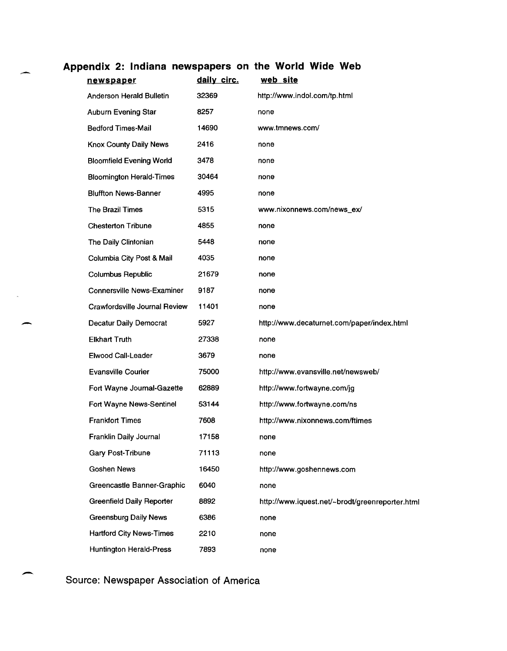# **Appendix 2: Indiana newspapers on the World Wide Web**

| <u>newspaper</u>                     | daily circ. | web site                                        |
|--------------------------------------|-------------|-------------------------------------------------|
| <b>Anderson Herald Bulletin</b>      | 32369       | http://www.indol.com/tp.html                    |
| <b>Auburn Evening Star</b>           | 8257        | none                                            |
| <b>Bedford Times-Mail</b>            | 14690       | www.tmnews.com/                                 |
| <b>Knox County Daily News</b>        | 2416        | none                                            |
| <b>Bloomfield Evening World</b>      | 3478        | none                                            |
| <b>Bloomington Herald-Times</b>      | 30464       | none                                            |
| <b>Bluffton News-Banner</b>          | 4995        | none                                            |
| The Brazil Times                     | 5315        | www.nixonnews.com/news_ex/                      |
| <b>Chesterton Tribune</b>            | 4855        | none                                            |
| The Daily Clintonian                 | 5448        | none                                            |
| Columbia City Post & Mail            | 4035        | none                                            |
| <b>Columbus Republic</b>             | 21679       | none                                            |
| <b>Connersville News-Examiner</b>    | 9187        | none                                            |
| <b>Crawfordsville Journal Review</b> | 11401       | none                                            |
| <b>Decatur Daily Democrat</b>        | 5927        | http://www.decaturnet.com/paper/index.html      |
| <b>Elkhart Truth</b>                 | 27338       | none                                            |
| <b>Elwood Call-Leader</b>            | 3679        | none                                            |
| <b>Evansville Courier</b>            | 75000       | http://www.evansville.net/newsweb/              |
| Fort Wayne Journal-Gazette           | 62889       | http://www.fortwayne.com/jg                     |
| Fort Wayne News-Sentinel             | 53144       | http://www.fortwayne.com/ns                     |
| <b>Frankfort Times</b>               | 7608        | http://www.nixonnews.com/ftimes                 |
| Franklin Daily Journal               | 17158       | none                                            |
| Gary Post-Tribune                    | 71113       | none                                            |
| <b>Goshen News</b>                   | 16450       | http://www.goshennews.com                       |
| Greencastle Banner-Graphic           | 6040        | none                                            |
| <b>Greenfield Daily Reporter</b>     | 8892        | http://www.iquest.net/~brodt/greenreporter.html |
| <b>Greensburg Daily News</b>         | 6386        | none                                            |
| <b>Hartford City News-Times</b>      | 2210        | none                                            |
| Huntington Herald-Press              | 7893        | none                                            |

Source: Newspaper Association of America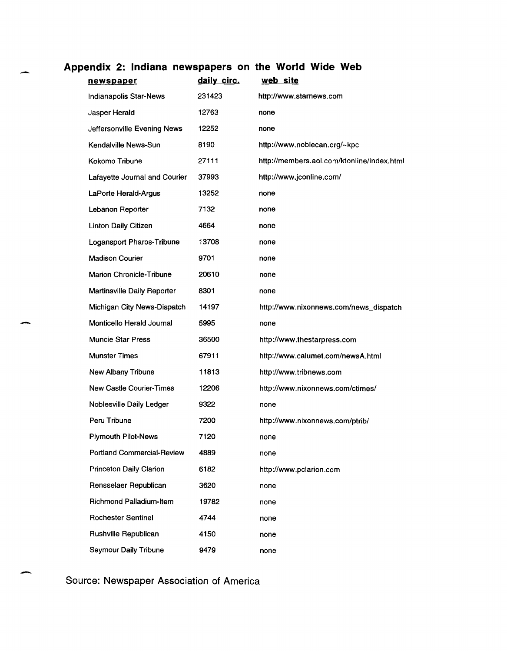| <u>newspaper</u>                | daily circ. | web site                                   |
|---------------------------------|-------------|--------------------------------------------|
| Indianapolis Star-News          | 231423      | http://www.starnews.com                    |
| Jasper Herald                   | 12763       | none                                       |
| Jeffersonville Evening News     | 12252       | none                                       |
| Kendalville News-Sun            | 8190        | http://www.noblecan.org/~kpc               |
| Kokomo Tribune                  | 27111       | http://members.aol.com/ktonline/index.html |
| Lafayette Journal and Courier   | 37993       | http://www.jconline.com/                   |
| LaPorte Herald-Argus            | 13252       | none                                       |
| Lebanon Reporter                | 7132        | none                                       |
| Linton Daily Citizen            | 4664        | none                                       |
| Logansport Pharos-Tribune       | 13708       | none                                       |
| <b>Madison Courier</b>          | 9701        | none                                       |
| <b>Marion Chronicle-Tribune</b> | 20610       | none                                       |
| Martinsville Daily Reporter     | 8301        | none                                       |
| Michigan City News-Dispatch     | 14197       | http://www.nixonnews.com/news_dispatch     |
| Monticello Herald Journal       | 5995        | none                                       |
| <b>Muncie Star Press</b>        | 36500       | http://www.thestarpress.com                |
| <b>Munster Times</b>            | 67911       | http://www.calumet.com/newsA.html          |
| New Albany Tribune              | 11813       | http://www.tribnews.com                    |
| <b>New Castle Courier-Times</b> | 12206       | http://www.nixonnews.com/ctimes/           |
| Noblesville Daily Ledger        | 9322        | none                                       |
| Peru Tribune                    | 7200        | http://www.nixonnews.com/ptrib/            |
| <b>Plymouth Pilot-News</b>      | 7120        | none                                       |
| Portland Commercial-Review      | 4889        | none                                       |
| <b>Princeton Daily Clarion</b>  | 6182        | http://www.pclarion.com                    |
| Rensselaer Republican           | 3620        | none                                       |
| Richmond Palladium-Item         | 19782       | none                                       |
| <b>Rochester Sentinel</b>       | 4744        | none                                       |
| Rushville Republican            | 4150        | none                                       |
| <b>Seymour Daily Tribune</b>    | 9479        | none                                       |

# **Appendix 2: Indiana newspapers on the World Wide Web**

Source: Newspaper Association of America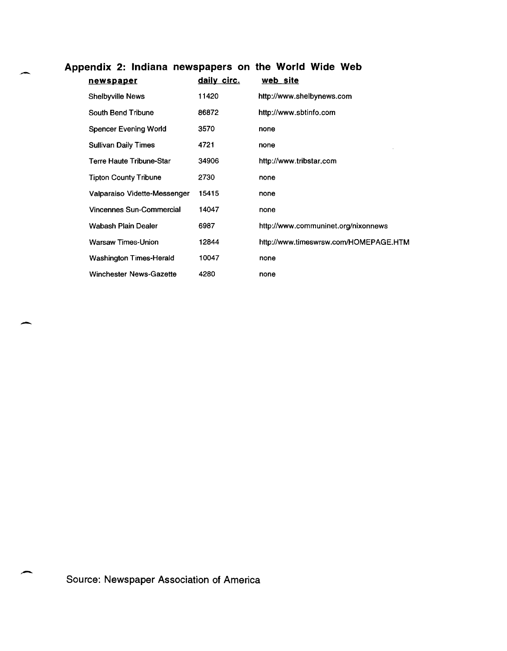# Appendix 2: Indiana newspapers on the World Wide Web

| <u>newspaper</u>                | daily circ. | <u>web site</u>                       |
|---------------------------------|-------------|---------------------------------------|
| <b>Shelbyville News</b>         | 11420       | http://www.shelbynews.com             |
| South Bend Tribune              | 86872       | http://www.sbtinfo.com                |
| Spencer Evening World           | 3570        | none                                  |
| <b>Sullivan Daily Times</b>     | 4721        | none                                  |
| Terre Haute Tribune-Star        | 34906       | http://www.tribstar.com               |
| <b>Tipton County Tribune</b>    | 2730        | none                                  |
| Valparaiso Vidette-Messenger    | 15415       | none                                  |
| <b>Vincennes Sun-Commercial</b> | 14047       | none                                  |
| Wabash Plain Dealer             | 6987        | http://www.communinet.org/nixonnews   |
| <b>Warsaw Times-Union</b>       | 12844       | http://www.timeswrsw.com/HOMEPAGE.HTM |
| <b>Washington Times-Herald</b>  | 10047       | none                                  |
| <b>Winchester News-Gazette</b>  | 4280        | none                                  |

Source: Newspaper Association of America

-